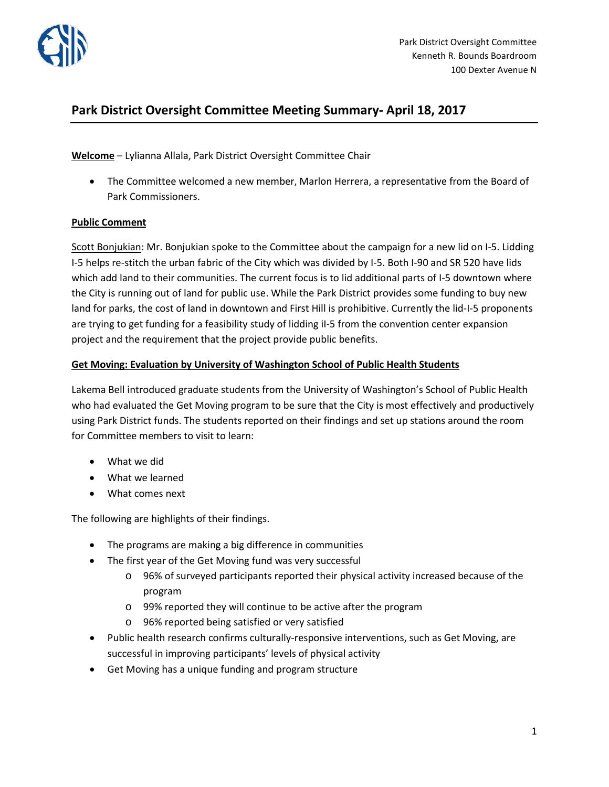

# **Park District Oversight Committee Meeting Summary- April 18, 2017**

### **Welcome** – Lylianna Allala, Park District Oversight Committee Chair

• The Committee welcomed a new member, Marlon Herrera, a representative from the Board of Park Commissioners.

#### **Public Comment**

Scott Bonjukian: Mr. Bonjukian spoke to the Committee about the campaign for a new lid on I-5. Lidding I-5 helps re-stitch the urban fabric of the City which was divided by I-5. Both I-90 and SR 520 have lids which add land to their communities. The current focus is to lid additional parts of I-5 downtown where the City is running out of land for public use. While the Park District provides some funding to buy new land for parks, the cost of land in downtown and First Hill is prohibitive. Currently the lid-I-5 proponents are trying to get funding for a feasibility study of lidding iI-5 from the convention center expansion project and the requirement that the project provide public benefits.

#### **Get Moving: Evaluation by University of Washington School of Public Health Students**

Lakema Bell introduced graduate students from the University of Washington's School of Public Health who had evaluated the Get Moving program to be sure that the City is most effectively and productively using Park District funds. The students reported on their findings and set up stations around the room for Committee members to visit to learn:

- What we did
- What we learned
- What comes next

The following are highlights of their findings.

- The programs are making a big difference in communities
- The first year of the Get Moving fund was very successful
	- o 96% of surveyed participants reported their physical activity increased because of the program
	- o 99% reported they will continue to be active after the program
	- o 96% reported being satisfied or very satisfied
- Public health research confirms culturally-responsive interventions, such as Get Moving, are successful in improving participants' levels of physical activity
- Get Moving has a unique funding and program structure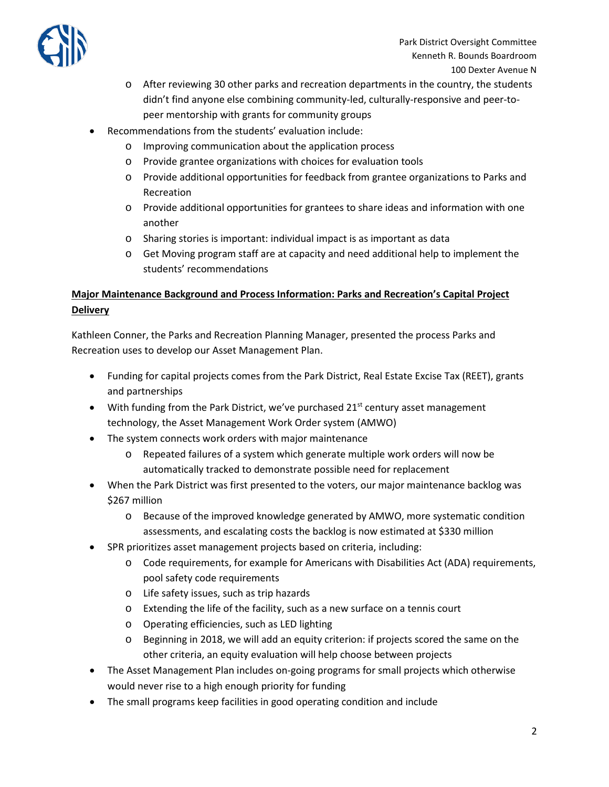

- o After reviewing 30 other parks and recreation departments in the country, the students didn't find anyone else combining community-led, culturally-responsive and peer-topeer mentorship with grants for community groups
- Recommendations from the students' evaluation include:
	- o Improving communication about the application process
	- o Provide grantee organizations with choices for evaluation tools
	- o Provide additional opportunities for feedback from grantee organizations to Parks and Recreation
	- $\circ$  Provide additional opportunities for grantees to share ideas and information with one another
	- o Sharing stories is important: individual impact is as important as data
	- o Get Moving program staff are at capacity and need additional help to implement the students' recommendations

## **Major Maintenance Background and Process Information: Parks and Recreation's Capital Project Delivery**

Kathleen Conner, the Parks and Recreation Planning Manager, presented the process Parks and Recreation uses to develop our Asset Management Plan.

- Funding for capital projects comes from the Park District, Real Estate Excise Tax (REET), grants and partnerships
- With funding from the Park District, we've purchased  $21<sup>st</sup>$  century asset management technology, the Asset Management Work Order system (AMWO)
- The system connects work orders with major maintenance
	- o Repeated failures of a system which generate multiple work orders will now be automatically tracked to demonstrate possible need for replacement
- When the Park District was first presented to the voters, our major maintenance backlog was \$267 million
	- o Because of the improved knowledge generated by AMWO, more systematic condition assessments, and escalating costs the backlog is now estimated at \$330 million
- SPR prioritizes asset management projects based on criteria, including:
	- o Code requirements, for example for Americans with Disabilities Act (ADA) requirements, pool safety code requirements
	- o Life safety issues, such as trip hazards
	- o Extending the life of the facility, such as a new surface on a tennis court
	- o Operating efficiencies, such as LED lighting
	- o Beginning in 2018, we will add an equity criterion: if projects scored the same on the other criteria, an equity evaluation will help choose between projects
- The Asset Management Plan includes on-going programs for small projects which otherwise would never rise to a high enough priority for funding
- The small programs keep facilities in good operating condition and include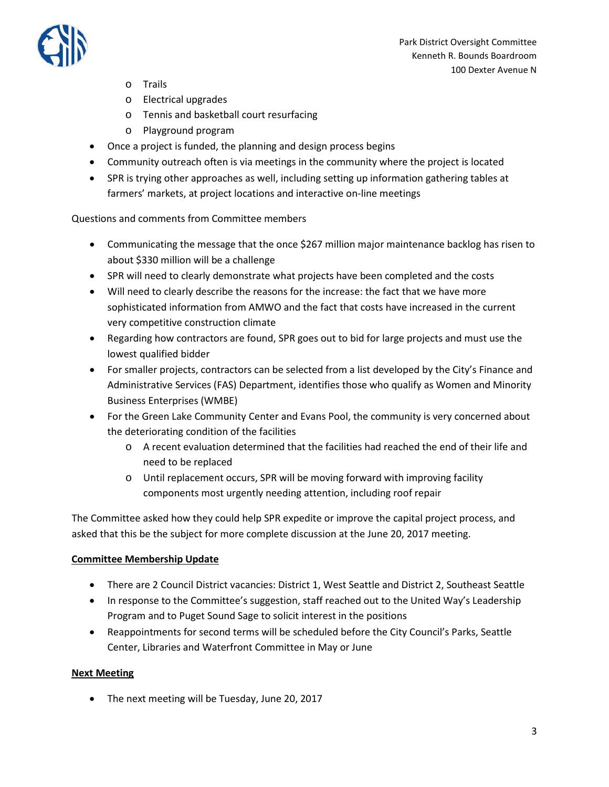

- o Trails
- o Electrical upgrades
- o Tennis and basketball court resurfacing
- o Playground program
- Once a project is funded, the planning and design process begins
- Community outreach often is via meetings in the community where the project is located
- SPR is trying other approaches as well, including setting up information gathering tables at farmers' markets, at project locations and interactive on-line meetings

Questions and comments from Committee members

- Communicating the message that the once \$267 million major maintenance backlog has risen to about \$330 million will be a challenge
- SPR will need to clearly demonstrate what projects have been completed and the costs
- Will need to clearly describe the reasons for the increase: the fact that we have more sophisticated information from AMWO and the fact that costs have increased in the current very competitive construction climate
- Regarding how contractors are found, SPR goes out to bid for large projects and must use the lowest qualified bidder
- For smaller projects, contractors can be selected from a list developed by the City's Finance and Administrative Services (FAS) Department, identifies those who qualify as Women and Minority Business Enterprises (WMBE)
- For the Green Lake Community Center and Evans Pool, the community is very concerned about the deteriorating condition of the facilities
	- o A recent evaluation determined that the facilities had reached the end of their life and need to be replaced
	- o Until replacement occurs, SPR will be moving forward with improving facility components most urgently needing attention, including roof repair

The Committee asked how they could help SPR expedite or improve the capital project process, and asked that this be the subject for more complete discussion at the June 20, 2017 meeting.

#### **Committee Membership Update**

- There are 2 Council District vacancies: District 1, West Seattle and District 2, Southeast Seattle
- In response to the Committee's suggestion, staff reached out to the United Way's Leadership Program and to Puget Sound Sage to solicit interest in the positions
- Reappointments for second terms will be scheduled before the City Council's Parks, Seattle Center, Libraries and Waterfront Committee in May or June

#### **Next Meeting**

• The next meeting will be Tuesday, June 20, 2017